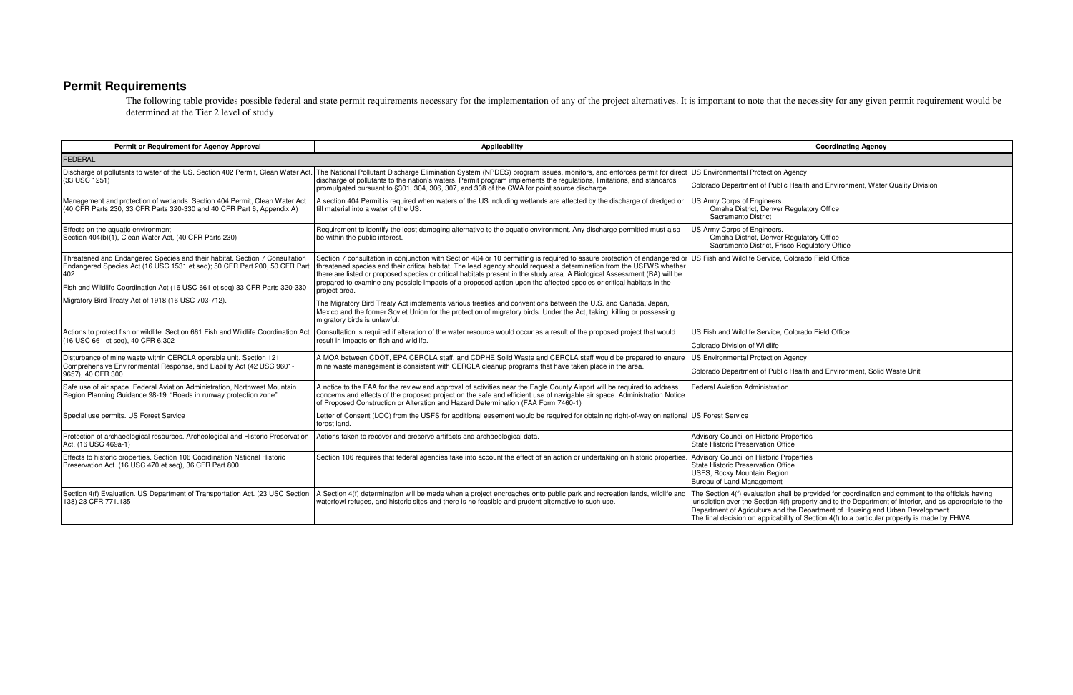## **Permit Requirements**

The following table provides possible federal and state permit requirements necessary for the implementation of any of the project alternatives. It is important to note that the necessity for any given permit requirement w determined at the Tier 2 level of study.

| Permit or Requirement for Agency Approval                                                                                                                                                                                                      | <b>Applicability</b>                                                                                                                                                                                                                                                                                                                                                                                                                                                                                                                                                       | <b>Coordinating Agency</b>                                                                                                                                                                                                                                                 |  |  |
|------------------------------------------------------------------------------------------------------------------------------------------------------------------------------------------------------------------------------------------------|----------------------------------------------------------------------------------------------------------------------------------------------------------------------------------------------------------------------------------------------------------------------------------------------------------------------------------------------------------------------------------------------------------------------------------------------------------------------------------------------------------------------------------------------------------------------------|----------------------------------------------------------------------------------------------------------------------------------------------------------------------------------------------------------------------------------------------------------------------------|--|--|
| <b>FEDERAL</b>                                                                                                                                                                                                                                 |                                                                                                                                                                                                                                                                                                                                                                                                                                                                                                                                                                            |                                                                                                                                                                                                                                                                            |  |  |
| Discharge of pollutants to water of the US. Section 402 Permit, Clean Water Act.<br>(33 USC 1251)                                                                                                                                              | The National Pollutant Discharge Elimination System (NPDES) program issues, monitors, and enforces permit for direct US Environmental Protection Agency<br>discharge of pollutants to the nation's waters. Permit program implements the regulations, limitations, and standards<br>promulgated pursuant to §301, 304, 306, 307, and 308 of the CWA for point source discharge.                                                                                                                                                                                            | Colorado Department of Public Health and Environment, Water                                                                                                                                                                                                                |  |  |
| Management and protection of wetlands. Section 404 Permit, Clean Water Act<br>(40 CFR Parts 230, 33 CFR Parts 320-330 and 40 CFR Part 6, Appendix A)                                                                                           | A section 404 Permit is required when waters of the US including wetlands are affected by the discharge of dredged or<br>fill material into a water of the US.                                                                                                                                                                                                                                                                                                                                                                                                             | US Army Corps of Engineers.<br>Omaha District, Denver Regulatory Office<br>Sacramento District                                                                                                                                                                             |  |  |
| Effects on the aquatic environment<br>Section 404(b)(1), Clean Water Act, (40 CFR Parts 230)                                                                                                                                                   | Requirement to identify the least damaging alternative to the aquatic environment. Any discharge permitted must also<br>be within the public interest.                                                                                                                                                                                                                                                                                                                                                                                                                     | US Army Corps of Engineers.<br>Omaha District, Denver Regulatory Office<br>Sacramento District, Frisco Regulatory Office                                                                                                                                                   |  |  |
| Threatened and Endangered Species and their habitat. Section 7 Consultation<br>Endangered Species Act (16 USC 1531 et seq); 50 CFR Part 200, 50 CFR Part<br>402<br>Fish and Wildlife Coordination Act (16 USC 661 et seg) 33 CFR Parts 320-330 | Section 7 consultation in conjunction with Section 404 or 10 permitting is required to assure protection of endangered or US Fish and Wildlife Service, Colorado Field Office<br>threatened species and their critical habitat. The lead agency should request a determination from the USFWS whether<br>there are listed or proposed species or critical habitats present in the study area. A Biological Assessment (BA) will be<br>prepared to examine any possible impacts of a proposed action upon the affected species or critical habitats in the<br>project area. |                                                                                                                                                                                                                                                                            |  |  |
| Migratory Bird Treaty Act of 1918 (16 USC 703-712).                                                                                                                                                                                            | The Migratory Bird Treaty Act implements various treaties and conventions between the U.S. and Canada, Japan,<br>Mexico and the former Soviet Union for the protection of migratory birds. Under the Act, taking, killing or possessing<br>migratory birds is unlawful.                                                                                                                                                                                                                                                                                                    |                                                                                                                                                                                                                                                                            |  |  |
| Actions to protect fish or wildlife. Section 661 Fish and Wildlife Coordination Act<br>(16 USC 661 et seq), 40 CFR 6.302                                                                                                                       | Consultation is required if alteration of the water resource would occur as a result of the proposed project that would<br>result in impacts on fish and wildlife.                                                                                                                                                                                                                                                                                                                                                                                                         | US Fish and Wildlife Service, Colorado Field Office<br>Colorado Division of Wildlife                                                                                                                                                                                       |  |  |
| Disturbance of mine waste within CERCLA operable unit. Section 121<br>Comprehensive Environmental Response, and Liability Act (42 USC 9601-<br>9657), 40 CFR 300                                                                               | A MOA between CDOT, EPA CERCLA staff, and CDPHE Solid Waste and CERCLA staff would be prepared to ensure<br>mine waste management is consistent with CERCLA cleanup programs that have taken place in the area.                                                                                                                                                                                                                                                                                                                                                            | US Environmental Protection Agency<br>Colorado Department of Public Health and Environment, Solid                                                                                                                                                                          |  |  |
| Safe use of air space. Federal Aviation Administration, Northwest Mountain<br>Region Planning Guidance 98-19. "Roads in runway protection zone"                                                                                                | A notice to the FAA for the review and approval of activities near the Eagle County Airport will be required to address<br>concerns and effects of the proposed project on the safe and efficient use of navigable air space. Administration Notice<br>of Proposed Construction or Alteration and Hazard Determination (FAA Form 7460-1)                                                                                                                                                                                                                                   | <b>Federal Aviation Administration</b>                                                                                                                                                                                                                                     |  |  |
| Special use permits. US Forest Service                                                                                                                                                                                                         | Letter of Consent (LOC) from the USFS for additional easement would be required for obtaining right-of-way on national US Forest Service<br>forest land.                                                                                                                                                                                                                                                                                                                                                                                                                   |                                                                                                                                                                                                                                                                            |  |  |
| Protection of archaeological resources. Archeological and Historic Preservation<br>Act. (16 USC 469a-1)                                                                                                                                        | Actions taken to recover and preserve artifacts and archaeological data.                                                                                                                                                                                                                                                                                                                                                                                                                                                                                                   | Advisory Council on Historic Properties<br>State Historic Preservation Office                                                                                                                                                                                              |  |  |
| Effects to historic properties. Section 106 Coordination National Historic<br>Preservation Act. (16 USC 470 et seg), 36 CFR Part 800                                                                                                           | Section 106 requires that federal agencies take into account the effect of an action or undertaking on historic properties.                                                                                                                                                                                                                                                                                                                                                                                                                                                | Advisory Council on Historic Properties<br>State Historic Preservation Office<br>USFS, Rocky Mountain Region<br>Bureau of Land Management                                                                                                                                  |  |  |
| Section 4(f) Evaluation. US Department of Transportation Act. (23 USC Section<br>138) 23 CFR 771.135                                                                                                                                           | A Section 4(f) determination will be made when a project encroaches onto public park and recreation lands, wildlife and<br>waterfowl refuges, and historic sites and there is no feasible and prudent alternative to such use.                                                                                                                                                                                                                                                                                                                                             | The Section 4(f) evaluation shall be provided for coordination a<br>jurisdiction over the Section 4(f) property and to the Departmer<br>Department of Agriculture and the Department of Housing and<br>The final decision on applicability of Section 4(f) to a particular |  |  |

| <b>Coordinating Agency</b>                                                                                                                                                                                                                                                                                                                                                                        |  |  |  |
|---------------------------------------------------------------------------------------------------------------------------------------------------------------------------------------------------------------------------------------------------------------------------------------------------------------------------------------------------------------------------------------------------|--|--|--|
|                                                                                                                                                                                                                                                                                                                                                                                                   |  |  |  |
| <b>US Environmental Protection Agency</b>                                                                                                                                                                                                                                                                                                                                                         |  |  |  |
| Colorado Department of Public Health and Environment, Water Quality Division                                                                                                                                                                                                                                                                                                                      |  |  |  |
| US Army Corps of Engineers.<br>Omaha District, Denver Regulatory Office<br>Sacramento District                                                                                                                                                                                                                                                                                                    |  |  |  |
| US Army Corps of Engineers.<br>Omaha District, Denver Regulatory Office<br>Sacramento District, Frisco Regulatory Office                                                                                                                                                                                                                                                                          |  |  |  |
| US Fish and Wildlife Service, Colorado Field Office                                                                                                                                                                                                                                                                                                                                               |  |  |  |
| US Fish and Wildlife Service, Colorado Field Office                                                                                                                                                                                                                                                                                                                                               |  |  |  |
| Colorado Division of Wildlife                                                                                                                                                                                                                                                                                                                                                                     |  |  |  |
| US Environmental Protection Agency                                                                                                                                                                                                                                                                                                                                                                |  |  |  |
| Colorado Department of Public Health and Environment, Solid Waste Unit                                                                                                                                                                                                                                                                                                                            |  |  |  |
| <b>Federal Aviation Administration</b>                                                                                                                                                                                                                                                                                                                                                            |  |  |  |
| <b>US Forest Service</b>                                                                                                                                                                                                                                                                                                                                                                          |  |  |  |
| <b>Advisory Council on Historic Properties</b><br><b>State Historic Preservation Office</b>                                                                                                                                                                                                                                                                                                       |  |  |  |
| Advisory Council on Historic Properties<br><b>State Historic Preservation Office</b><br>USFS, Rocky Mountain Region<br>Bureau of Land Management                                                                                                                                                                                                                                                  |  |  |  |
| The Section 4(f) evaluation shall be provided for coordination and comment to the officials having<br>jurisdiction over the Section 4(f) property and to the Department of Interior, and as appropriate to the<br>Department of Agriculture and the Department of Housing and Urban Development.<br>The final decision on applicability of Section 4(f) to a particular property is made by FHWA. |  |  |  |
|                                                                                                                                                                                                                                                                                                                                                                                                   |  |  |  |